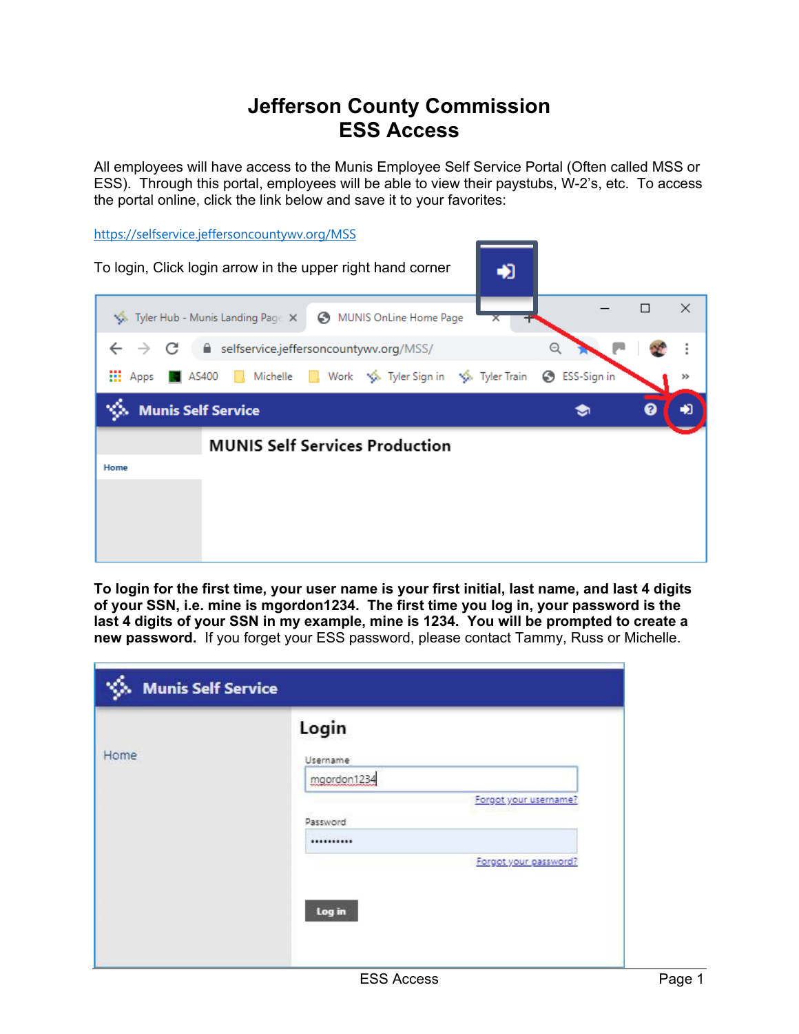## **Jefferson County Commission ESS Access**

All employees will have access to the Munis Employee Self Service Portal (Often called MSS or ESS). Through this portal, employees will be able to view their paystubs, W-2's, etc. To access the portal online, click the link below and save it to your favorites:

https://selfservice.jeffersoncountywv.org/MSS



**To login for the first time, your user name is your first initial, last name, and last 4 digits of your SSN, i.e. mine is mgordon1234. The first time you log in, your password is the last 4 digits of your SSN in my example, mine is 1234. You will be prompted to create a new password.** If you forget your ESS password, please contact Tammy, Russ or Michelle.

| Home | Username<br>mgordon1234 |
|------|-------------------------|
|      |                         |
|      |                         |
|      | Forgot your username?   |
|      | Password                |
|      |                         |
|      | Forgot your password?   |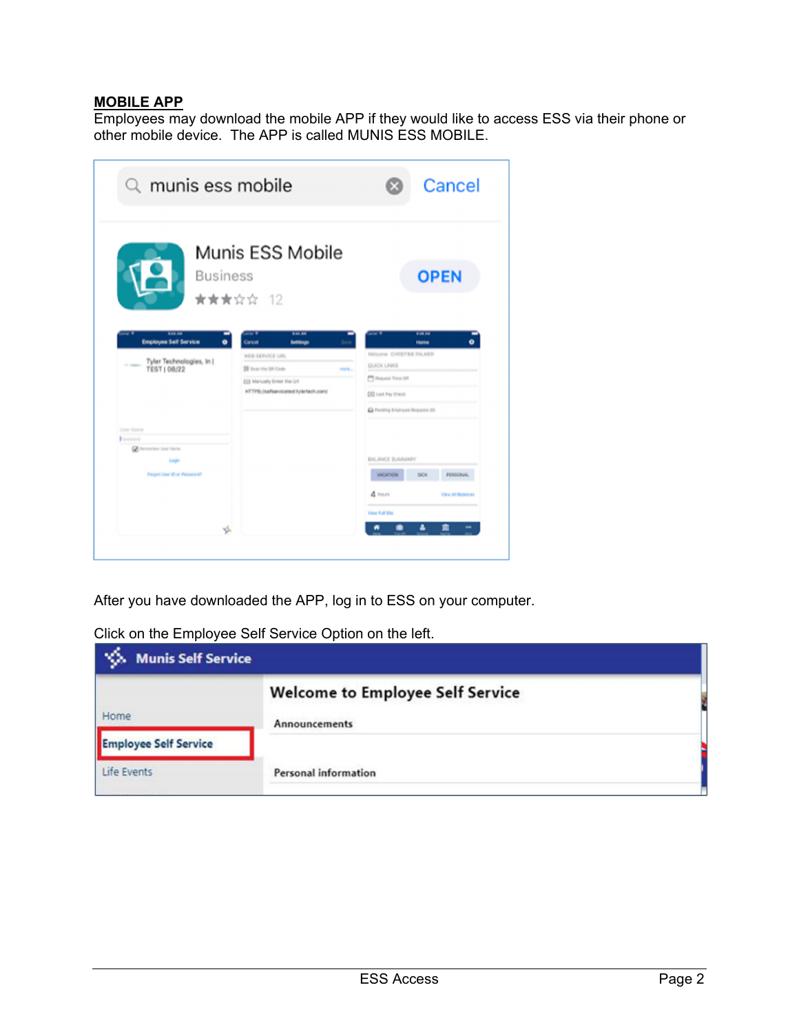## **MOBILE APP**

Employees may download the mobile APP if they would like to access ESS via their phone or other mobile device. The APP is called MUNIS ESS MOBILE.

| $Q$ munis ess mobile                                                                                               |                                                                                                                                                                               | Cancel                                                                                                                                                                       |
|--------------------------------------------------------------------------------------------------------------------|-------------------------------------------------------------------------------------------------------------------------------------------------------------------------------|------------------------------------------------------------------------------------------------------------------------------------------------------------------------------|
| <b>Business</b>                                                                                                    | Munis ESS Mobile<br>★★★☆☆ 12                                                                                                                                                  | <b>OPEN</b>                                                                                                                                                                  |
| <b>W-44-004</b><br><b>Employee Self Service</b><br>Tyler Technologies, In J.<br>or country.<br><b>TEST   08/22</b> | \$46.00<br>Cancel<br><b>Settings</b><br>WEB SERVICE URL<br><b>IS faun the OR Code</b><br><b>SILLER</b><br>ESS Manually Enter the Url.<br>HTTPS://sefsen/cetest.tylertech.com/ | 8.48.04<br>$\bullet$<br>Home<br><b>Welcome CHRETINE FALMER</b><br><b>QUICK LINKS</b><br>PR Heaven Yong OH<br><b>CES Last Pay O'estil</b><br>Ca Pending Employee Requests (O) |
| <b>Litar Nama</b><br>Pannamed<br>Conservator User Name<br><b>Login</b><br>Farget User 43 at Passwore?              |                                                                                                                                                                               | <b>BALANCE SUMMARY</b><br><b>VICATION</b><br>SiCK<br><b>FERSONAL</b><br>A team<br>View All Balancas                                                                          |
| vs.                                                                                                                |                                                                                                                                                                               | Vine Rull Site<br>m<br>a                                                                                                                                                     |

After you have downloaded the APP, log in to ESS on your computer.

|  | Click on the Employee Self Service Option on the left. |  |
|--|--------------------------------------------------------|--|
|  |                                                        |  |

| <b>Munis Self Service</b>    |                                                          |  |  |
|------------------------------|----------------------------------------------------------|--|--|
| Home                         | <b>Welcome to Employee Self Service</b><br>Announcements |  |  |
| <b>Employee Self Service</b> |                                                          |  |  |
| Life Events                  | Personal information                                     |  |  |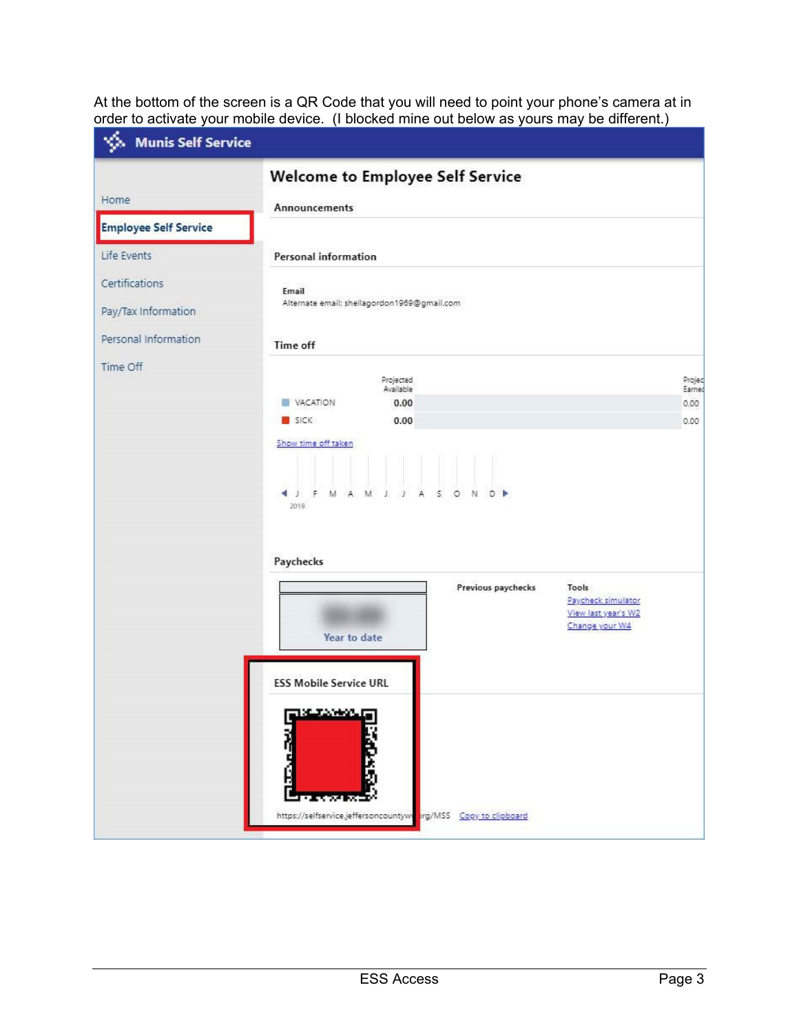At the bottom of the screen is a QR Code that you will need to point your phone's camera at in order to activate your mobile device. (I blocked mine out below as yours may be different.)

| Munis Self Service           |                                                                                                                                                           |                                   |
|------------------------------|-----------------------------------------------------------------------------------------------------------------------------------------------------------|-----------------------------------|
|                              | Welcome to Employee Self Service                                                                                                                          |                                   |
| Home                         | Announcements                                                                                                                                             |                                   |
| <b>Employee Self Service</b> |                                                                                                                                                           |                                   |
| Life Events                  | Personal information                                                                                                                                      |                                   |
| Certifications               | Email                                                                                                                                                     |                                   |
| Pay/Tax Information          | Alternate email: shellagordon1969@gmail.com                                                                                                               |                                   |
| Personal Information         | Time off                                                                                                                                                  |                                   |
| Time Off                     | Projected<br>Available<br>VACATION<br>0.00<br><b>SICK</b><br>0.00<br>Show time off taken<br>$\cdot$<br>M A M J<br>SON<br>D P<br>$\leftarrow$<br>F<br>2019 | Projec<br>Earned<br>0.00.<br>0.00 |
|                              | Paychecks<br>Previous paychecks<br>Tools<br>Paycheck simulator<br>View last year's W2<br>Change your W4<br>Year to date<br><b>ESS Mobile Service URL</b>  |                                   |
|                              | 13 TANK La<br>https://selfservice.jeffersoncountywi<br>org/MSS Copy to clipboard                                                                          |                                   |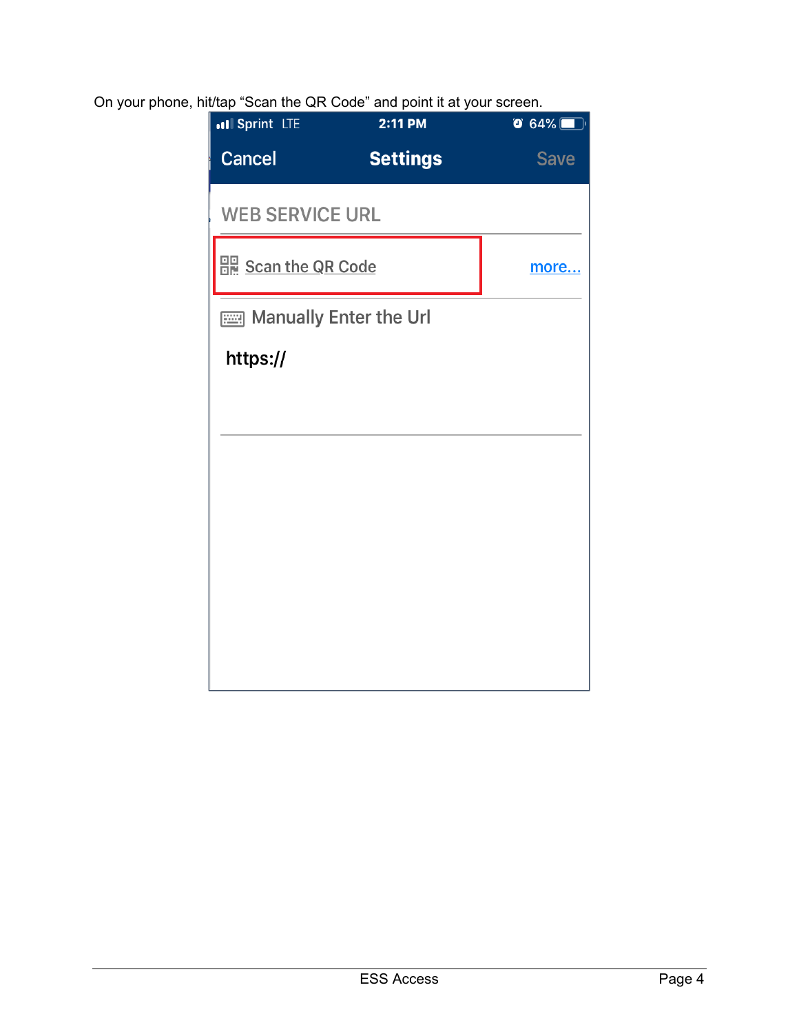## On your phone, hit/tap "Scan the QR Code" and point it at your screen.

| all Sprint LTE         | 2:11 PM         | $\bullet$ 64% |
|------------------------|-----------------|---------------|
| <b>Cancel</b>          | <b>Settings</b> | <b>Save</b>   |
| <b>WEB SERVICE URL</b> |                 |               |
| 음력 Scan the QR Code    |                 | more          |
| Manually Enter the Url |                 |               |
| https://               |                 |               |
|                        |                 |               |
|                        |                 |               |
|                        |                 |               |
|                        |                 |               |
|                        |                 |               |
|                        |                 |               |
|                        |                 |               |